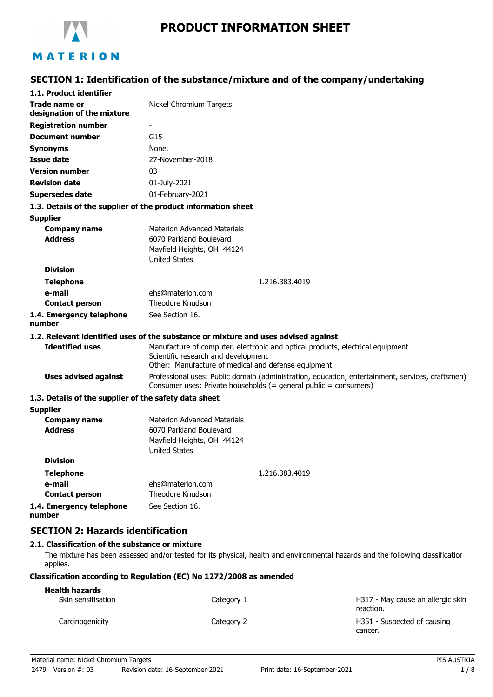

# **PRODUCT INFORMATION SHEET**

# **SECTION 1: Identification of the substance/mixture and of the company/undertaking**

| 1.1. Product identifier                                       |                                                                                                                                                                              |
|---------------------------------------------------------------|------------------------------------------------------------------------------------------------------------------------------------------------------------------------------|
| <b>Trade name or</b><br>designation of the mixture            | Nickel Chromium Targets                                                                                                                                                      |
| <b>Registration number</b>                                    |                                                                                                                                                                              |
| <b>Document number</b>                                        | G15                                                                                                                                                                          |
| <b>Synonyms</b>                                               | None.                                                                                                                                                                        |
| <b>Issue date</b>                                             | 27-November-2018                                                                                                                                                             |
| <b>Version number</b>                                         | 03                                                                                                                                                                           |
| <b>Revision date</b>                                          | 01-July-2021                                                                                                                                                                 |
| <b>Supersedes date</b>                                        | 01-February-2021                                                                                                                                                             |
| 1.3. Details of the supplier of the product information sheet |                                                                                                                                                                              |
| <b>Supplier</b>                                               |                                                                                                                                                                              |
| <b>Company name</b><br><b>Address</b>                         | <b>Materion Advanced Materials</b><br>6070 Parkland Boulevard<br>Mayfield Heights, OH 44124<br><b>United States</b>                                                          |
| <b>Division</b>                                               |                                                                                                                                                                              |
| <b>Telephone</b>                                              | 1.216.383.4019                                                                                                                                                               |
| e-mail                                                        | ehs@materion.com                                                                                                                                                             |
| <b>Contact person</b>                                         | Theodore Knudson                                                                                                                                                             |
| 1.4. Emergency telephone<br>number                            | See Section 16.                                                                                                                                                              |
|                                                               | 1.2. Relevant identified uses of the substance or mixture and uses advised against                                                                                           |
| <b>Identified uses</b>                                        | Manufacture of computer, electronic and optical products, electrical equipment<br>Scientific research and development<br>Other: Manufacture of medical and defense equipment |
| <b>Uses advised against</b>                                   | Professional uses: Public domain (administration, education, entertainment, services, craftsmen)<br>Consumer uses: Private households (= general public = consumers)         |
| 1.3. Details of the supplier of the safety data sheet         |                                                                                                                                                                              |
| <b>Supplier</b>                                               |                                                                                                                                                                              |
| <b>Company name</b><br><b>Address</b>                         | <b>Materion Advanced Materials</b><br>6070 Parkland Boulevard<br>Mayfield Heights, OH 44124<br><b>United States</b>                                                          |
| <b>Division</b>                                               |                                                                                                                                                                              |
| <b>Telephone</b>                                              | 1.216.383.4019                                                                                                                                                               |
| e-mail                                                        | ehs@materion.com                                                                                                                                                             |
| <b>Contact person</b>                                         | Theodore Knudson                                                                                                                                                             |
| 1.4. Emergency telephone<br>number                            | See Section 16.                                                                                                                                                              |

## **SECTION 2: Hazards identification**

## **2.1. Classification of the substance or mixture**

The mixture has been assessed and/or tested for its physical, health and environmental hazards and the following classification applies.

## **Classification according to Regulation (EC) No 1272/2008 as amended**

| <b>Health hazards</b> |            |                                                |
|-----------------------|------------|------------------------------------------------|
| Skin sensitisation    | Category 1 | H317 - May cause an allergic skin<br>reaction. |
| Carcinogenicity       | Category 2 | H351 - Suspected of causing<br>cancer.         |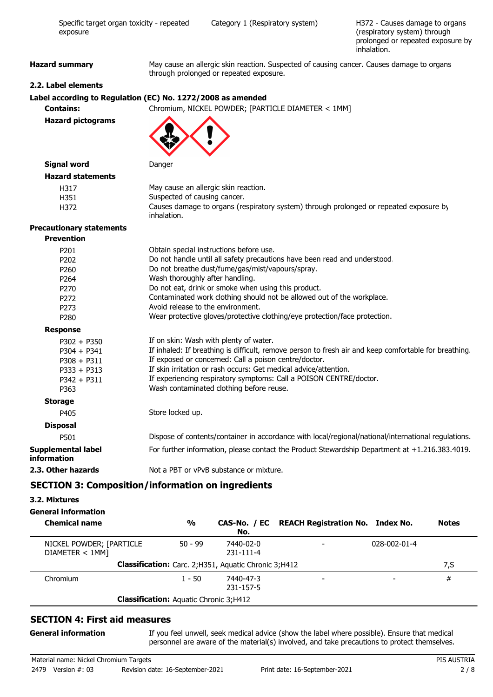| exposure                          | (respiratory system) through<br>prolonged or repeated exposure by<br>inhalation.                                                     |  |
|-----------------------------------|--------------------------------------------------------------------------------------------------------------------------------------|--|
| <b>Hazard summary</b>             | May cause an allergic skin reaction. Suspected of causing cancer. Causes damage to organs<br>through prolonged or repeated exposure. |  |
| 2.2. Label elements               |                                                                                                                                      |  |
|                                   | Label according to Regulation (EC) No. 1272/2008 as amended                                                                          |  |
| <b>Contains:</b>                  | Chromium, NICKEL POWDER; [PARTICLE DIAMETER < 1MM]                                                                                   |  |
| <b>Hazard pictograms</b>          |                                                                                                                                      |  |
| <b>Signal word</b>                | Danger                                                                                                                               |  |
| <b>Hazard statements</b>          |                                                                                                                                      |  |
| H317                              | May cause an allergic skin reaction.                                                                                                 |  |
| H351                              | Suspected of causing cancer.                                                                                                         |  |
| H372                              | Causes damage to organs (respiratory system) through prolonged or repeated exposure by<br>inhalation.                                |  |
| <b>Precautionary statements</b>   |                                                                                                                                      |  |
| <b>Prevention</b>                 |                                                                                                                                      |  |
| P201                              | Obtain special instructions before use.                                                                                              |  |
| P202                              | Do not handle until all safety precautions have been read and understood.                                                            |  |
| P260                              | Do not breathe dust/fume/gas/mist/vapours/spray.                                                                                     |  |
| P <sub>264</sub>                  | Wash thoroughly after handling.                                                                                                      |  |
| P270                              | Do not eat, drink or smoke when using this product.                                                                                  |  |
| P272                              | Contaminated work clothing should not be allowed out of the workplace.                                                               |  |
| P273                              | Avoid release to the environment.                                                                                                    |  |
| P280                              | Wear protective gloves/protective clothing/eye protection/face protection.                                                           |  |
| <b>Response</b>                   |                                                                                                                                      |  |
| $P302 + P350$                     | If on skin: Wash with plenty of water.                                                                                               |  |
| $P304 + P341$                     | If inhaled: If breathing is difficult, remove person to fresh air and keep comfortable for breathing.                                |  |
| $P308 + P311$                     | If exposed or concerned: Call a poison centre/doctor.                                                                                |  |
| $P333 + P313$                     | If skin irritation or rash occurs: Get medical advice/attention.                                                                     |  |
| $P342 + P311$                     | If experiencing respiratory symptoms: Call a POISON CENTRE/doctor.                                                                   |  |
| P363                              | Wash contaminated clothing before reuse.                                                                                             |  |
| <b>Storage</b>                    |                                                                                                                                      |  |
| P405                              | Store locked up.                                                                                                                     |  |
| <b>Disposal</b>                   |                                                                                                                                      |  |
| P501                              | Dispose of contents/container in accordance with local/regional/national/international regulations.                                  |  |
| Supplemental label<br>information | For further information, please contact the Product Stewardship Department at +1.216.383.4019.                                       |  |
| 2.3. Other hazards                | Not a PBT or vPvB substance or mixture.                                                                                              |  |

Specific target organ toxicity - repeated Category 1 (Respiratory system)

# **SECTION 3: Composition/information on ingredients**

## **3.2. Mixtures**

## **General information**

| <b>Chemical name</b>                          | $\frac{0}{0}$ | No.                                                    | CAS-No. / EC REACH Registration No. Index No. |              | <b>Notes</b> |
|-----------------------------------------------|---------------|--------------------------------------------------------|-----------------------------------------------|--------------|--------------|
| NICKEL POWDER; [PARTICLE<br>DIAMETER < 1MM]   | $50 - 99$     | 7440-02-0<br>231-111-4                                 |                                               | 028-002-01-4 |              |
|                                               |               | Classification: Carc. 2; H351, Aquatic Chronic 3; H412 |                                               |              | 7,S          |
| Chromium                                      | $1 - 50$      | 7440-47-3<br>231-157-5                                 |                                               |              | #            |
| <b>Classification:</b> Aquatic Chronic 3;H412 |               |                                                        |                                               |              |              |

## **SECTION 4: First aid measures**

#### **General information**

If you feel unwell, seek medical advice (show the label where possible). Ensure that medical personnel are aware of the material(s) involved, and take precautions to protect themselves.

H372 - Causes damage to organs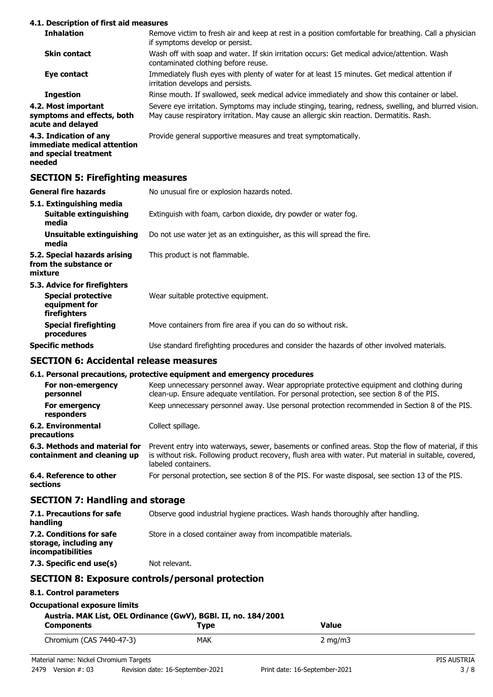#### **4.1. Description of first aid measures**

| <b>Inhalation</b>                                                                        | Remove victim to fresh air and keep at rest in a position comfortable for breathing. Call a physician<br>if symptoms develop or persist.                                                          |
|------------------------------------------------------------------------------------------|---------------------------------------------------------------------------------------------------------------------------------------------------------------------------------------------------|
| <b>Skin contact</b>                                                                      | Wash off with soap and water. If skin irritation occurs: Get medical advice/attention. Wash<br>contaminated clothing before reuse.                                                                |
| Eye contact                                                                              | Immediately flush eyes with plenty of water for at least 15 minutes. Get medical attention if<br>irritation develops and persists.                                                                |
| <b>Ingestion</b>                                                                         | Rinse mouth. If swallowed, seek medical advice immediately and show this container or label.                                                                                                      |
| 4.2. Most important<br>symptoms and effects, both<br>acute and delayed                   | Severe eye irritation. Symptoms may include stinging, tearing, redness, swelling, and blurred vision.<br>May cause respiratory irritation. May cause an allergic skin reaction. Dermatitis. Rash. |
| 4.3. Indication of any<br>immediate medical attention<br>and special treatment<br>needed | Provide general supportive measures and treat symptomatically.                                                                                                                                    |
| <b>SECTION 5: Firefighting measures</b>                                                  |                                                                                                                                                                                                   |

| General fire hazards                                                                       | No unusual fire or explosion hazards noted.                                                |
|--------------------------------------------------------------------------------------------|--------------------------------------------------------------------------------------------|
| 5.1. Extinguishing media<br>Suitable extinguishing<br>media                                | Extinguish with foam, carbon dioxide, dry powder or water fog.                             |
| Unsuitable extinguishing<br>media                                                          | Do not use water jet as an extinguisher, as this will spread the fire.                     |
| 5.2. Special hazards arising<br>from the substance or<br>mixture                           | This product is not flammable.                                                             |
| 5.3. Advice for firefighters<br><b>Special protective</b><br>equipment for<br>firefighters | Wear suitable protective equipment.                                                        |
| <b>Special firefighting</b><br>procedures                                                  | Move containers from fire area if you can do so without risk.                              |
| Specific methods                                                                           | Use standard firefighting procedures and consider the hazards of other involved materials. |
|                                                                                            |                                                                                            |

## **SECTION 6: Accidental release measures**

## **6.1. Personal precautions, protective equipment and emergency procedures**

|                                                              | o.i. Personal precautions, protective equipment and emergency procedures                                                                                                                                                              |
|--------------------------------------------------------------|---------------------------------------------------------------------------------------------------------------------------------------------------------------------------------------------------------------------------------------|
| For non-emergency<br>personnel                               | Keep unnecessary personnel away. Wear appropriate protective equipment and clothing during<br>clean-up. Ensure adequate ventilation. For personal protection, see section 8 of the PIS.                                               |
| For emergency<br>responders                                  | Keep unnecessary personnel away. Use personal protection recommended in Section 8 of the PIS.                                                                                                                                         |
| 6.2. Environmental<br>precautions                            | Collect spillage.                                                                                                                                                                                                                     |
| 6.3. Methods and material for<br>containment and cleaning up | Prevent entry into waterways, sewer, basements or confined areas. Stop the flow of material, if this<br>is without risk. Following product recovery, flush area with water. Put material in suitable, covered,<br>labeled containers. |
| 6.4. Reference to other<br>sections                          | For personal protection, see section 8 of the PIS. For waste disposal, see section 13 of the PIS.                                                                                                                                     |

# **SECTION 7: Handling and storage**

| 7.1. Precautions for safe<br>handling                                   | Observe good industrial hygiene practices. Wash hands thoroughly after handling. |
|-------------------------------------------------------------------------|----------------------------------------------------------------------------------|
| 7.2. Conditions for safe<br>storage, including any<br>incompatibilities | Store in a closed container away from incompatible materials.                    |
| 7.3. Specific end use(s)                                                | Not relevant.                                                                    |

# **SECTION 8: Exposure controls/personal protection**

# **8.1. Control parameters**

|  | <b>Occupational exposure limits</b> |  |  |
|--|-------------------------------------|--|--|
|--|-------------------------------------|--|--|

# **Austria. MAK List, OEL Ordinance (GwV), BGBl. II, no. 184/2001**

| Austria. MAK List, OEL Ordinance (GWV), BGBI. 11, no. 184/2001<br>Tvpe<br><b>Components</b> |     | Value            |             |
|---------------------------------------------------------------------------------------------|-----|------------------|-------------|
| Chromium (CAS 7440-47-3)                                                                    | MAK | $2 \text{ ma/m}$ |             |
| Material name: Nickel Chromium Targets                                                      |     |                  | PIS AUSTRIA |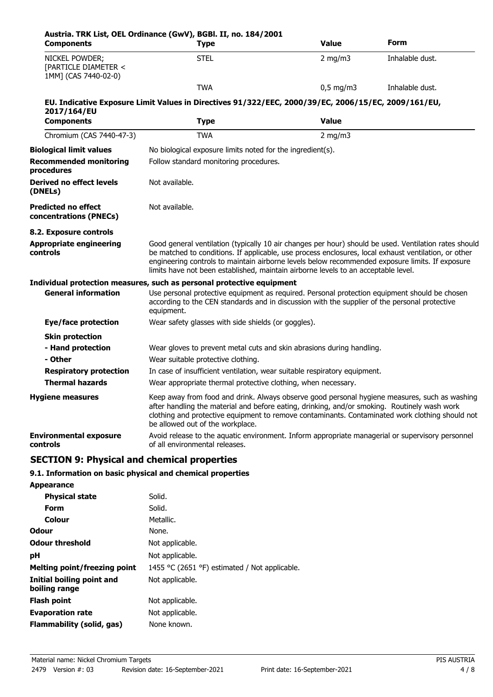| <b>Components</b>                                              | Austria. TRK List, OEL Ordinance (GwV), BGBI. II, no. 184/2001<br><b>Type</b>                                                                                                                                                                                                                                                                                                                          | <b>Value</b> | Form            |
|----------------------------------------------------------------|--------------------------------------------------------------------------------------------------------------------------------------------------------------------------------------------------------------------------------------------------------------------------------------------------------------------------------------------------------------------------------------------------------|--------------|-----------------|
| NICKEL POWDER;<br>[PARTICLE DIAMETER <<br>1MM] (CAS 7440-02-0) | <b>STEL</b>                                                                                                                                                                                                                                                                                                                                                                                            | $2$ mg/m $3$ | Inhalable dust. |
|                                                                | <b>TWA</b>                                                                                                                                                                                                                                                                                                                                                                                             | $0,5$ mg/m3  | Inhalable dust. |
| 2017/164/EU                                                    | EU. Indicative Exposure Limit Values in Directives 91/322/EEC, 2000/39/EC, 2006/15/EC, 2009/161/EU,                                                                                                                                                                                                                                                                                                    |              |                 |
| <b>Components</b>                                              | <b>Type</b>                                                                                                                                                                                                                                                                                                                                                                                            | <b>Value</b> |                 |
| Chromium (CAS 7440-47-3)                                       | <b>TWA</b>                                                                                                                                                                                                                                                                                                                                                                                             | 2 mg/m $3$   |                 |
| <b>Biological limit values</b>                                 | No biological exposure limits noted for the ingredient(s).                                                                                                                                                                                                                                                                                                                                             |              |                 |
| <b>Recommended monitoring</b><br>procedures                    | Follow standard monitoring procedures.                                                                                                                                                                                                                                                                                                                                                                 |              |                 |
| Derived no effect levels<br>(DNELs)                            | Not available.                                                                                                                                                                                                                                                                                                                                                                                         |              |                 |
| <b>Predicted no effect</b><br>concentrations (PNECs)           | Not available.                                                                                                                                                                                                                                                                                                                                                                                         |              |                 |
| 8.2. Exposure controls                                         |                                                                                                                                                                                                                                                                                                                                                                                                        |              |                 |
| <b>Appropriate engineering</b><br>controls                     | Good general ventilation (typically 10 air changes per hour) should be used. Ventilation rates should<br>be matched to conditions. If applicable, use process enclosures, local exhaust ventilation, or other<br>engineering controls to maintain airborne levels below recommended exposure limits. If exposure<br>limits have not been established, maintain airborne levels to an acceptable level. |              |                 |
|                                                                | Individual protection measures, such as personal protective equipment                                                                                                                                                                                                                                                                                                                                  |              |                 |
| <b>General information</b>                                     | Use personal protective equipment as required. Personal protection equipment should be chosen<br>according to the CEN standards and in discussion with the supplier of the personal protective<br>equipment.                                                                                                                                                                                           |              |                 |
| <b>Eye/face protection</b>                                     | Wear safety glasses with side shields (or goggles).                                                                                                                                                                                                                                                                                                                                                    |              |                 |
| <b>Skin protection</b>                                         |                                                                                                                                                                                                                                                                                                                                                                                                        |              |                 |
| - Hand protection                                              | Wear gloves to prevent metal cuts and skin abrasions during handling.                                                                                                                                                                                                                                                                                                                                  |              |                 |
| - Other                                                        | Wear suitable protective clothing.                                                                                                                                                                                                                                                                                                                                                                     |              |                 |
| <b>Respiratory protection</b>                                  | In case of insufficient ventilation, wear suitable respiratory equipment.                                                                                                                                                                                                                                                                                                                              |              |                 |
| <b>Thermal hazards</b>                                         | Wear appropriate thermal protective clothing, when necessary.                                                                                                                                                                                                                                                                                                                                          |              |                 |
| <b>Hygiene measures</b>                                        | Keep away from food and drink. Always observe good personal hygiene measures, such as washing<br>after handling the material and before eating, drinking, and/or smoking. Routinely wash work<br>clothing and protective equipment to remove contaminants. Contaminated work clothing should not<br>be allowed out of the workplace.                                                                   |              |                 |
| <b>Environmental exposure</b><br>controls                      | Avoid release to the aquatic environment. Inform appropriate managerial or supervisory personnel<br>of all environmental releases.                                                                                                                                                                                                                                                                     |              |                 |

# **SECTION 9: Physical and chemical properties**

## **9.1. Information on basic physical and chemical properties**

| <b>Appearance</b>                          |                                               |
|--------------------------------------------|-----------------------------------------------|
| <b>Physical state</b>                      | Solid.                                        |
| Form                                       | Solid.                                        |
| Colour                                     | Metallic.                                     |
| <b>Odour</b>                               | None.                                         |
| <b>Odour threshold</b>                     | Not applicable.                               |
| рH                                         | Not applicable.                               |
| Melting point/freezing point               | 1455 °C (2651 °F) estimated / Not applicable. |
| Initial boiling point and<br>boiling range | Not applicable.                               |
| <b>Flash point</b>                         | Not applicable.                               |
| <b>Evaporation rate</b>                    | Not applicable.                               |
| Flammability (solid, gas)                  | None known.                                   |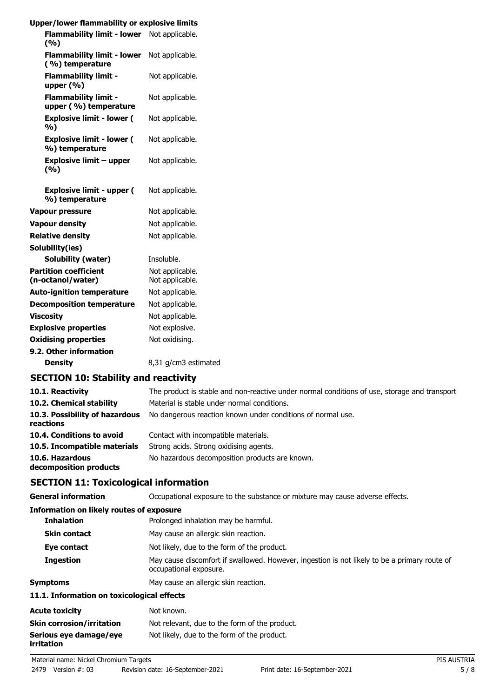| Upper/lower flammability or explosive limits         |                                    |
|------------------------------------------------------|------------------------------------|
| Flammability limit - lower Not applicable.<br>(%)    |                                    |
| <b>Flammability limit - lower</b><br>(%) temperature | Not applicable.                    |
| <b>Flammability limit -</b><br>upper (%)             | Not applicable.                    |
| <b>Flammability limit -</b><br>upper (%) temperature | Not applicable.                    |
| <b>Explosive limit - lower (</b><br>%)               | Not applicable.                    |
| <b>Explosive limit - lower (</b><br>%) temperature   | Not applicable.                    |
| <b>Explosive limit - upper</b><br>(%)                | Not applicable.                    |
| <b>Explosive limit - upper (</b><br>%) temperature   | Not applicable.                    |
| Vapour pressure                                      | Not applicable.                    |
| <b>Vapour density</b>                                | Not applicable.                    |
| <b>Relative density</b>                              | Not applicable.                    |
| Solubility(ies)                                      |                                    |
| <b>Solubility (water)</b>                            | Insoluble.                         |
| <b>Partition coefficient</b><br>(n-octanol/water)    | Not applicable.<br>Not applicable. |
| <b>Auto-ignition temperature</b>                     | Not applicable.                    |
| <b>Decomposition temperature</b>                     | Not applicable.                    |
| <b>Viscosity</b>                                     | Not applicable.                    |
| <b>Explosive properties</b>                          | Not explosive.                     |
| <b>Oxidising properties</b>                          | Not oxidising.                     |
| 9.2. Other information                               |                                    |
| <b>Density</b>                                       | 8,31 g/cm3 estimated               |

# **SECTION 10: Stability and reactivity**

| 10.1. Reactivity                            | The product is stable and non-reactive under normal conditions of use, storage and transport. |
|---------------------------------------------|-----------------------------------------------------------------------------------------------|
| 10.2. Chemical stability                    | Material is stable under normal conditions.                                                   |
| 10.3. Possibility of hazardous<br>reactions | No dangerous reaction known under conditions of normal use.                                   |
| 10.4. Conditions to avoid                   | Contact with incompatible materials.                                                          |
| 10.5. Incompatible materials                | Strong acids. Strong oxidising agents.                                                        |
| 10.6. Hazardous<br>decomposition products   | No hazardous decomposition products are known.                                                |

# **SECTION 11: Toxicological information**

| <b>General information</b>                 | Occupational exposure to the substance or mixture may cause adverse effects.                                           |  |
|--------------------------------------------|------------------------------------------------------------------------------------------------------------------------|--|
| Information on likely routes of exposure   |                                                                                                                        |  |
| <b>Inhalation</b>                          | Prolonged inhalation may be harmful.                                                                                   |  |
| <b>Skin contact</b>                        | May cause an allergic skin reaction.                                                                                   |  |
| Eye contact                                | Not likely, due to the form of the product.                                                                            |  |
| <b>Ingestion</b>                           | May cause discomfort if swallowed. However, ingestion is not likely to be a primary route of<br>occupational exposure. |  |
| <b>Symptoms</b>                            | May cause an allergic skin reaction.                                                                                   |  |
| 11.1. Information on toxicological effects |                                                                                                                        |  |
| <b>Acute toxicity</b>                      | Not known.                                                                                                             |  |
| <b>Skin corrosion/irritation</b>           | Not relevant, due to the form of the product.                                                                          |  |
| Serious eye damage/eye                     | Not likely, due to the form of the product.                                                                            |  |

**irritation**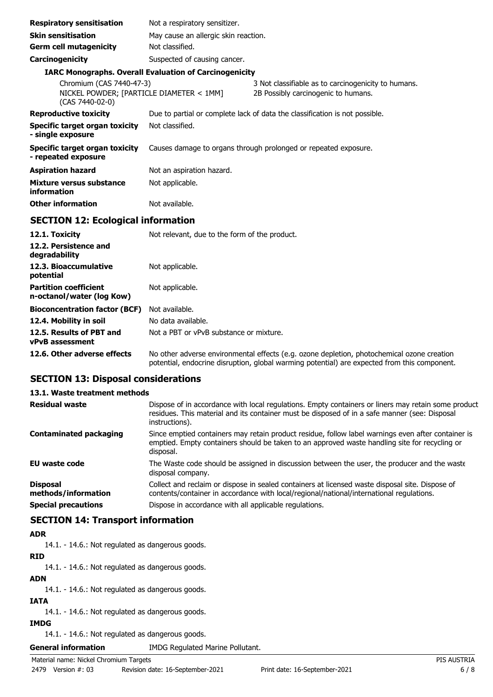| <b>Respiratory sensitisation</b>                                                        | Not a respiratory sensitizer.                                 |                                                                                            |
|-----------------------------------------------------------------------------------------|---------------------------------------------------------------|--------------------------------------------------------------------------------------------|
| <b>Skin sensitisation</b>                                                               | May cause an allergic skin reaction.                          |                                                                                            |
| <b>Germ cell mutagenicity</b>                                                           | Not classified.                                               |                                                                                            |
| <b>Carcinogenicity</b>                                                                  | Suspected of causing cancer.                                  |                                                                                            |
|                                                                                         | <b>IARC Monographs. Overall Evaluation of Carcinogenicity</b> |                                                                                            |
| Chromium (CAS 7440-47-3)<br>NICKEL POWDER; [PARTICLE DIAMETER < 1MM]<br>(CAS 7440-02-0) |                                                               | 3 Not classifiable as to carcinogenicity to humans.<br>2B Possibly carcinogenic to humans. |
| <b>Reproductive toxicity</b>                                                            |                                                               | Due to partial or complete lack of data the classification is not possible.                |
| Specific target organ toxicity<br>- single exposure                                     | Not classified.                                               |                                                                                            |
| Specific target organ toxicity<br>- repeated exposure                                   |                                                               | Causes damage to organs through prolonged or repeated exposure.                            |
| <b>Aspiration hazard</b>                                                                | Not an aspiration hazard.                                     |                                                                                            |
| Mixture versus substance<br>information                                                 | Not applicable.                                               |                                                                                            |
| <b>Other information</b>                                                                | Not available.                                                |                                                                                            |
| <b>SECTION 12: Ecological information</b>                                               |                                                               |                                                                                            |

| 12.1. Toxicity                                            | Not relevant, due to the form of the product.                                                                                                                                              |
|-----------------------------------------------------------|--------------------------------------------------------------------------------------------------------------------------------------------------------------------------------------------|
| 12.2. Persistence and<br>degradability                    |                                                                                                                                                                                            |
| 12.3. Bioaccumulative<br>potential                        | Not applicable.                                                                                                                                                                            |
| <b>Partition coefficient</b><br>n-octanol/water (log Kow) | Not applicable.                                                                                                                                                                            |
| <b>Bioconcentration factor (BCF)</b>                      | Not available.                                                                                                                                                                             |
| 12.4. Mobility in soil                                    | No data available.                                                                                                                                                                         |
| 12.5. Results of PBT and<br><b>vPvB</b> assessment        | Not a PBT or vPvB substance or mixture.                                                                                                                                                    |
| 12.6. Other adverse effects                               | No other adverse environmental effects (e.g. ozone depletion, photochemical ozone creation<br>potential, endocrine disruption, global warming potential) are expected from this component. |

## **SECTION 13: Disposal considerations**

#### **13.1. Waste treatment methods**

| <b>Residual waste</b>                  | Dispose of in accordance with local regulations. Empty containers or liners may retain some product<br>residues. This material and its container must be disposed of in a safe manner (see: Disposal<br>instructions). |
|----------------------------------------|------------------------------------------------------------------------------------------------------------------------------------------------------------------------------------------------------------------------|
| <b>Contaminated packaging</b>          | Since emptied containers may retain product residue, follow label warnings even after container is<br>emptied. Empty containers should be taken to an approved waste handling site for recycling or<br>disposal.       |
| EU waste code                          | The Waste code should be assigned in discussion between the user, the producer and the waste<br>disposal company.                                                                                                      |
| <b>Disposal</b><br>methods/information | Collect and reclaim or dispose in sealed containers at licensed waste disposal site. Dispose of<br>contents/container in accordance with local/regional/national/international regulations.                            |
| <b>Special precautions</b>             | Dispose in accordance with all applicable regulations.                                                                                                                                                                 |

## **SECTION 14: Transport information**

#### **ADR**

14.1. - 14.6.: Not regulated as dangerous goods.

#### **RID**

14.1. - 14.6.: Not regulated as dangerous goods.

## **ADN**

14.1. - 14.6.: Not regulated as dangerous goods.

## **IATA**

14.1. - 14.6.: Not regulated as dangerous goods.

## **IMDG**

14.1. - 14.6.: Not regulated as dangerous goods.

**General information** IMDG Regulated Marine Pollutant.

## Material name: Nickel Chromium Targets PIS AUSTRIA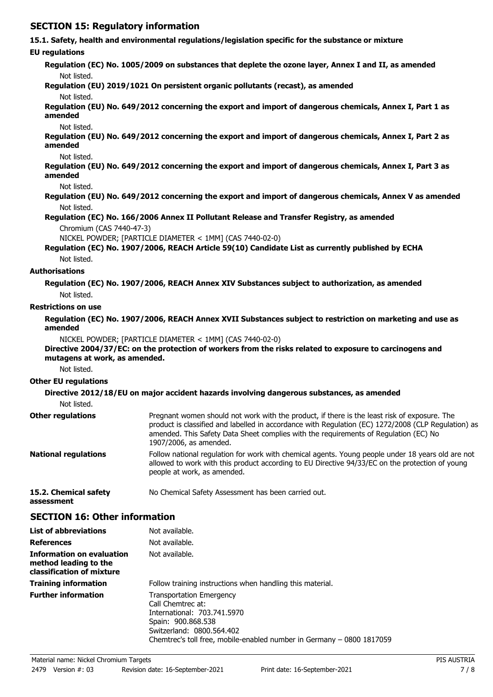# **SECTION 15: Regulatory information**

|                                                                                        | 15.1. Safety, health and environmental regulations/legislation specific for the substance or mixture                                                                                                                                                                                                                  |
|----------------------------------------------------------------------------------------|-----------------------------------------------------------------------------------------------------------------------------------------------------------------------------------------------------------------------------------------------------------------------------------------------------------------------|
| <b>EU</b> regulations                                                                  |                                                                                                                                                                                                                                                                                                                       |
|                                                                                        | Regulation (EC) No. 1005/2009 on substances that deplete the ozone layer, Annex I and II, as amended                                                                                                                                                                                                                  |
| Not listed.                                                                            |                                                                                                                                                                                                                                                                                                                       |
|                                                                                        | Regulation (EU) 2019/1021 On persistent organic pollutants (recast), as amended                                                                                                                                                                                                                                       |
| Not listed.                                                                            |                                                                                                                                                                                                                                                                                                                       |
| amended                                                                                | Regulation (EU) No. 649/2012 concerning the export and import of dangerous chemicals, Annex I, Part 1 as                                                                                                                                                                                                              |
| Not listed.                                                                            |                                                                                                                                                                                                                                                                                                                       |
| amended                                                                                | Regulation (EU) No. 649/2012 concerning the export and import of dangerous chemicals, Annex I, Part 2 as                                                                                                                                                                                                              |
| Not listed.                                                                            |                                                                                                                                                                                                                                                                                                                       |
| amended                                                                                | Regulation (EU) No. 649/2012 concerning the export and import of dangerous chemicals, Annex I, Part 3 as                                                                                                                                                                                                              |
| Not listed.                                                                            | Regulation (EU) No. 649/2012 concerning the export and import of dangerous chemicals, Annex V as amended                                                                                                                                                                                                              |
| Not listed.                                                                            |                                                                                                                                                                                                                                                                                                                       |
|                                                                                        | Regulation (EC) No. 166/2006 Annex II Pollutant Release and Transfer Registry, as amended                                                                                                                                                                                                                             |
| Chromium (CAS 7440-47-3)                                                               | NICKEL POWDER; [PARTICLE DIAMETER < 1MM] (CAS 7440-02-0)                                                                                                                                                                                                                                                              |
|                                                                                        | Regulation (EC) No. 1907/2006, REACH Article 59(10) Candidate List as currently published by ECHA                                                                                                                                                                                                                     |
| Not listed.                                                                            |                                                                                                                                                                                                                                                                                                                       |
| <b>Authorisations</b>                                                                  |                                                                                                                                                                                                                                                                                                                       |
|                                                                                        | Regulation (EC) No. 1907/2006, REACH Annex XIV Substances subject to authorization, as amended                                                                                                                                                                                                                        |
| Not listed.                                                                            |                                                                                                                                                                                                                                                                                                                       |
| <b>Restrictions on use</b>                                                             |                                                                                                                                                                                                                                                                                                                       |
| amended                                                                                | Regulation (EC) No. 1907/2006, REACH Annex XVII Substances subject to restriction on marketing and use as                                                                                                                                                                                                             |
|                                                                                        | NICKEL POWDER; [PARTICLE DIAMETER < 1MM] (CAS 7440-02-0)                                                                                                                                                                                                                                                              |
| mutagens at work, as amended.                                                          | Directive 2004/37/EC: on the protection of workers from the risks related to exposure to carcinogens and                                                                                                                                                                                                              |
| Not listed.                                                                            |                                                                                                                                                                                                                                                                                                                       |
| <b>Other EU regulations</b>                                                            |                                                                                                                                                                                                                                                                                                                       |
|                                                                                        | Directive 2012/18/EU on major accident hazards involving dangerous substances, as amended                                                                                                                                                                                                                             |
| Not listed.                                                                            |                                                                                                                                                                                                                                                                                                                       |
| <b>Other regulations</b>                                                               | Pregnant women should not work with the product, if there is the least risk of exposure. The<br>product is classified and labelled in accordance with Regulation (EC) 1272/2008 (CLP Regulation) as<br>amended. This Safety Data Sheet complies with the requirements of Regulation (EC) No<br>1907/2006, as amended. |
| <b>National regulations</b>                                                            | Follow national regulation for work with chemical agents. Young people under 18 years old are not<br>allowed to work with this product according to EU Directive 94/33/EC on the protection of young<br>people at work, as amended.                                                                                   |
| 15.2. Chemical safety<br>assessment                                                    | No Chemical Safety Assessment has been carried out.                                                                                                                                                                                                                                                                   |
| <b>SECTION 16: Other information</b>                                                   |                                                                                                                                                                                                                                                                                                                       |
| <b>List of abbreviations</b>                                                           | Not available.                                                                                                                                                                                                                                                                                                        |
| References                                                                             | Not available.                                                                                                                                                                                                                                                                                                        |
| <b>Information on evaluation</b><br>method leading to the<br>classification of mixture | Not available.                                                                                                                                                                                                                                                                                                        |
| <b>Training information</b>                                                            | Follow training instructions when handling this material.                                                                                                                                                                                                                                                             |

Transportation Emergency

International: 703.741.5970 Spain: 900.868.538 Switzerland: 0800.564.402

Call Chemtrec at:

Chemtrec's toll free, mobile-enabled number in Germany – 0800 1817059